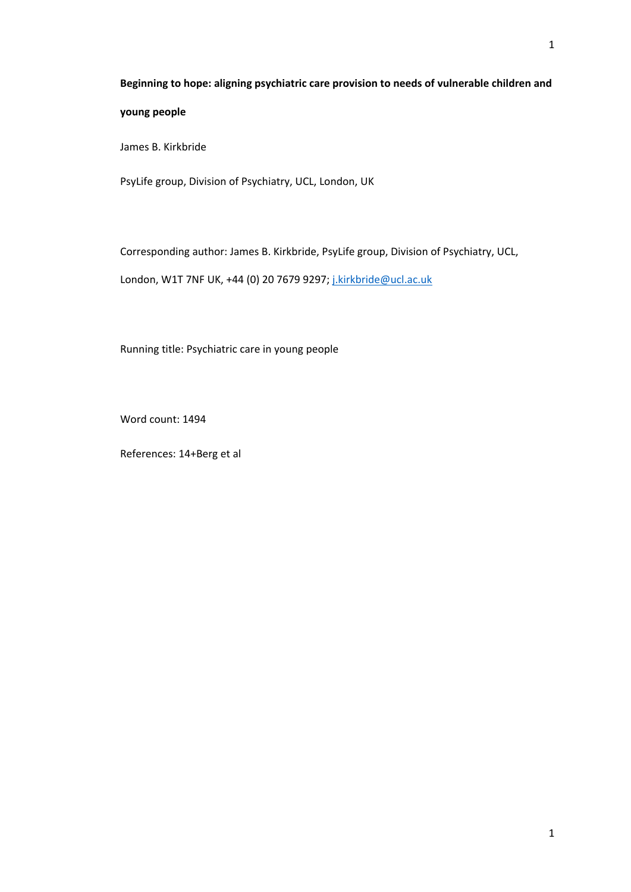## **Beginning to hope: aligning psychiatric care provision to needs of vulnerable children and**

## **young people**

James B. Kirkbride

PsyLife group, Division of Psychiatry, UCL, London, UK

Corresponding author: James B. Kirkbride, PsyLife group, Division of Psychiatry, UCL,

London, W1T 7NF UK, +44 (0) 20 7679 9297[; j.kirkbride@ucl.ac.uk](mailto:j.kirkbride@ucl.ac.uk)

Running title: Psychiatric care in young people

Word count: 1494

References: 14+Berg et al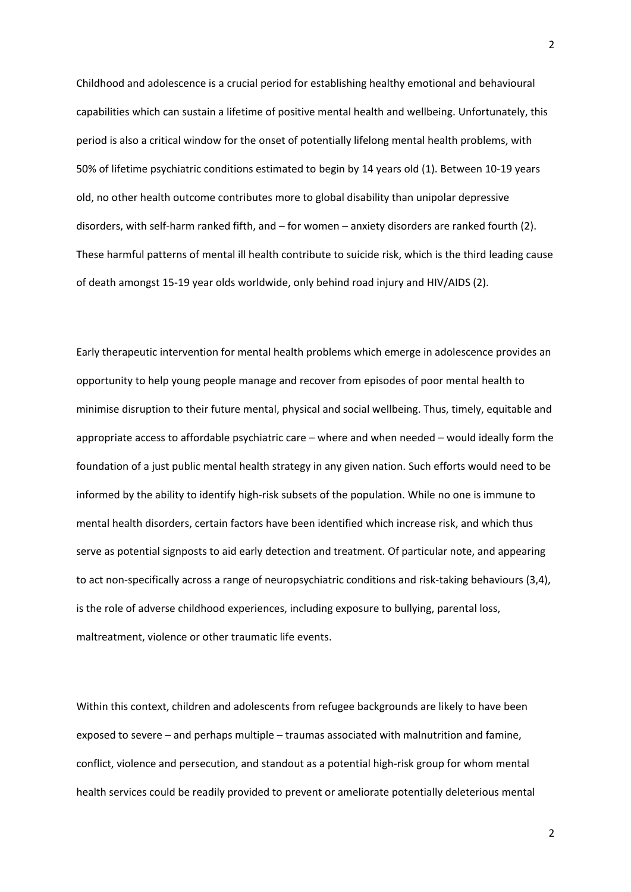Childhood and adolescence is a crucial period for establishing healthy emotional and behavioural capabilities which can sustain a lifetime of positive mental health and wellbeing. Unfortunately, this period is also a critical window for the onset of potentially lifelong mental health problems, with 50% of lifetime psychiatric conditions estimated to begin by 14 years old (1). Between 10-19 years old, no other health outcome contributes more to global disability than unipolar depressive disorders, with self-harm ranked fifth, and – for women – anxiety disorders are ranked fourth (2). These harmful patterns of mental ill health contribute to suicide risk, which is the third leading cause of death amongst 15-19 year olds worldwide, only behind road injury and HIV/AIDS (2).

Early therapeutic intervention for mental health problems which emerge in adolescence provides an opportunity to help young people manage and recover from episodes of poor mental health to minimise disruption to their future mental, physical and social wellbeing. Thus, timely, equitable and appropriate access to affordable psychiatric care – where and when needed – would ideally form the foundation of a just public mental health strategy in any given nation. Such efforts would need to be informed by the ability to identify high-risk subsets of the population. While no one is immune to mental health disorders, certain factors have been identified which increase risk, and which thus serve as potential signposts to aid early detection and treatment. Of particular note, and appearing to act non-specifically across a range of neuropsychiatric conditions and risk-taking behaviours (3,4), is the role of adverse childhood experiences, including exposure to bullying, parental loss, maltreatment, violence or other traumatic life events.

Within this context, children and adolescents from refugee backgrounds are likely to have been exposed to severe – and perhaps multiple – traumas associated with malnutrition and famine, conflict, violence and persecution, and standout as a potential high-risk group for whom mental health services could be readily provided to prevent or ameliorate potentially deleterious mental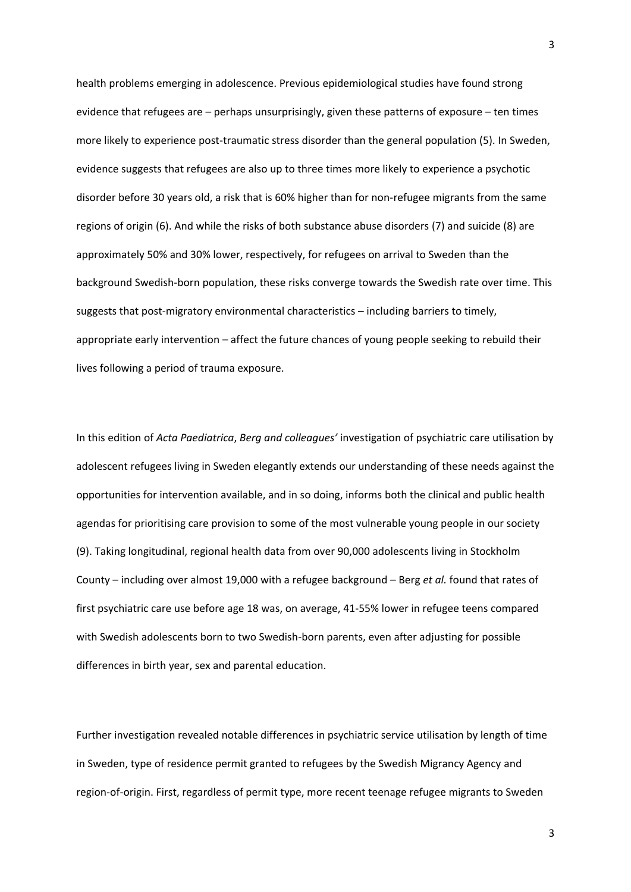health problems emerging in adolescence. Previous epidemiological studies have found strong evidence that refugees are – perhaps unsurprisingly, given these patterns of exposure – ten times more likely to experience post-traumatic stress disorder than the general population (5). In Sweden, evidence suggests that refugees are also up to three times more likely to experience a psychotic disorder before 30 years old, a risk that is 60% higher than for non-refugee migrants from the same regions of origin (6). And while the risks of both substance abuse disorders (7) and suicide (8) are approximately 50% and 30% lower, respectively, for refugees on arrival to Sweden than the background Swedish-born population, these risks converge towards the Swedish rate over time. This suggests that post-migratory environmental characteristics – including barriers to timely, appropriate early intervention – affect the future chances of young people seeking to rebuild their lives following a period of trauma exposure.

In this edition of *Acta Paediatrica*, *Berg and colleagues'* investigation of psychiatric care utilisation by adolescent refugees living in Sweden elegantly extends our understanding of these needs against the opportunities for intervention available, and in so doing, informs both the clinical and public health agendas for prioritising care provision to some of the most vulnerable young people in our society (9). Taking longitudinal, regional health data from over 90,000 adolescents living in Stockholm County – including over almost 19,000 with a refugee background – Berg *et al.* found that rates of first psychiatric care use before age 18 was, on average, 41-55% lower in refugee teens compared with Swedish adolescents born to two Swedish-born parents, even after adjusting for possible differences in birth year, sex and parental education.

Further investigation revealed notable differences in psychiatric service utilisation by length of time in Sweden, type of residence permit granted to refugees by the Swedish Migrancy Agency and region-of-origin. First, regardless of permit type, more recent teenage refugee migrants to Sweden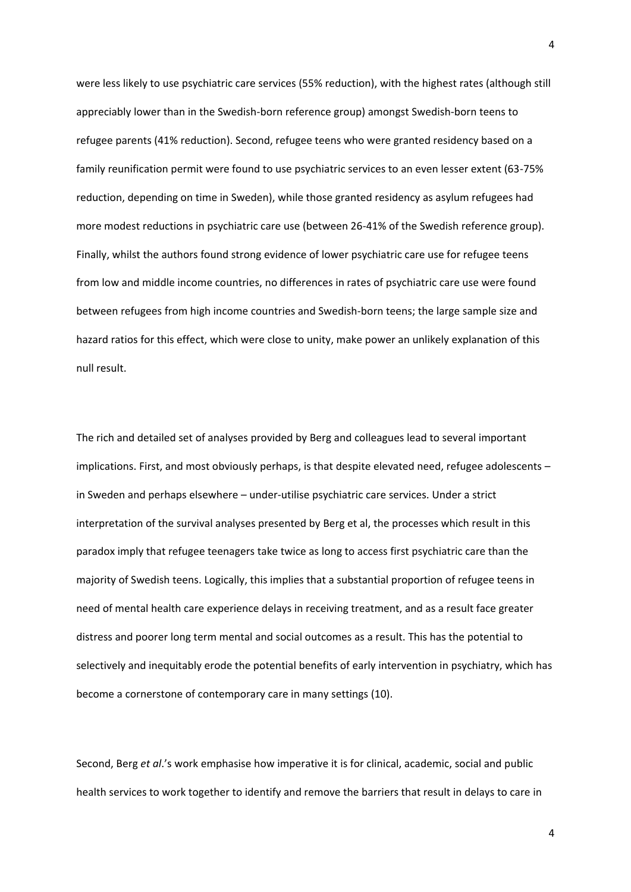were less likely to use psychiatric care services (55% reduction), with the highest rates (although still appreciably lower than in the Swedish-born reference group) amongst Swedish-born teens to refugee parents (41% reduction). Second, refugee teens who were granted residency based on a family reunification permit were found to use psychiatric services to an even lesser extent (63-75% reduction, depending on time in Sweden), while those granted residency as asylum refugees had more modest reductions in psychiatric care use (between 26-41% of the Swedish reference group). Finally, whilst the authors found strong evidence of lower psychiatric care use for refugee teens from low and middle income countries, no differences in rates of psychiatric care use were found between refugees from high income countries and Swedish-born teens; the large sample size and hazard ratios for this effect, which were close to unity, make power an unlikely explanation of this null result.

The rich and detailed set of analyses provided by Berg and colleagues lead to several important implications. First, and most obviously perhaps, is that despite elevated need, refugee adolescents – in Sweden and perhaps elsewhere – under-utilise psychiatric care services. Under a strict interpretation of the survival analyses presented by Berg et al, the processes which result in this paradox imply that refugee teenagers take twice as long to access first psychiatric care than the majority of Swedish teens. Logically, this implies that a substantial proportion of refugee teens in need of mental health care experience delays in receiving treatment, and as a result face greater distress and poorer long term mental and social outcomes as a result. This has the potential to selectively and inequitably erode the potential benefits of early intervention in psychiatry, which has become a cornerstone of contemporary care in many settings (10).

Second, Berg *et al*.'s work emphasise how imperative it is for clinical, academic, social and public health services to work together to identify and remove the barriers that result in delays to care in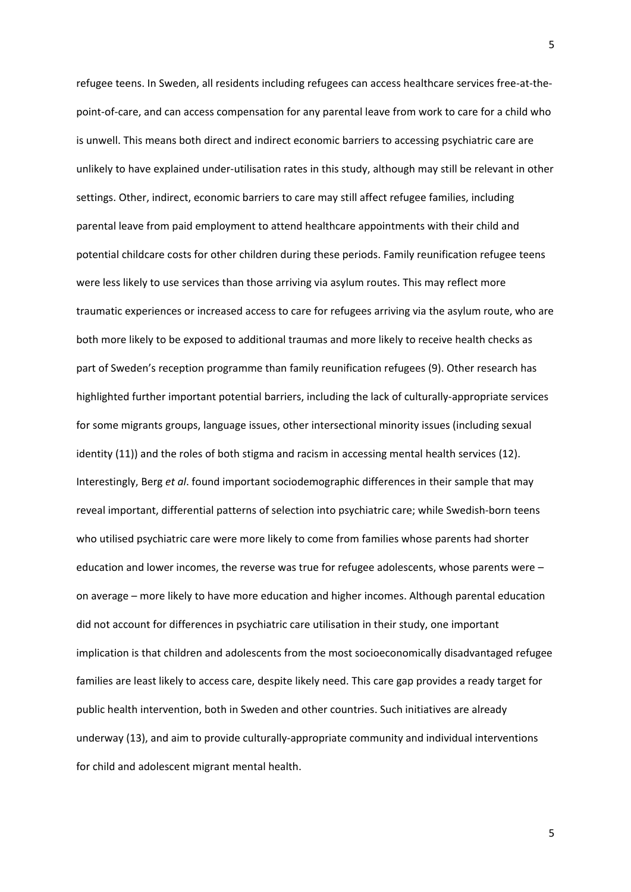refugee teens. In Sweden, all residents including refugees can access healthcare services free-at-thepoint-of-care, and can access compensation for any parental leave from work to care for a child who is unwell. This means both direct and indirect economic barriers to accessing psychiatric care are unlikely to have explained under-utilisation rates in this study, although may still be relevant in other settings. Other, indirect, economic barriers to care may still affect refugee families, including parental leave from paid employment to attend healthcare appointments with their child and potential childcare costs for other children during these periods. Family reunification refugee teens were less likely to use services than those arriving via asylum routes. This may reflect more traumatic experiences or increased access to care for refugees arriving via the asylum route, who are both more likely to be exposed to additional traumas and more likely to receive health checks as part of Sweden's reception programme than family reunification refugees (9). Other research has highlighted further important potential barriers, including the lack of culturally-appropriate services for some migrants groups, language issues, other intersectional minority issues (including sexual identity (11)) and the roles of both stigma and racism in accessing mental health services (12). Interestingly, Berg *et al*. found important sociodemographic differences in their sample that may reveal important, differential patterns of selection into psychiatric care; while Swedish-born teens who utilised psychiatric care were more likely to come from families whose parents had shorter education and lower incomes, the reverse was true for refugee adolescents, whose parents were – on average – more likely to have more education and higher incomes. Although parental education did not account for differences in psychiatric care utilisation in their study, one important implication is that children and adolescents from the most socioeconomically disadvantaged refugee families are least likely to access care, despite likely need. This care gap provides a ready target for public health intervention, both in Sweden and other countries. Such initiatives are already underway (13), and aim to provide culturally-appropriate community and individual interventions for child and adolescent migrant mental health.

5

5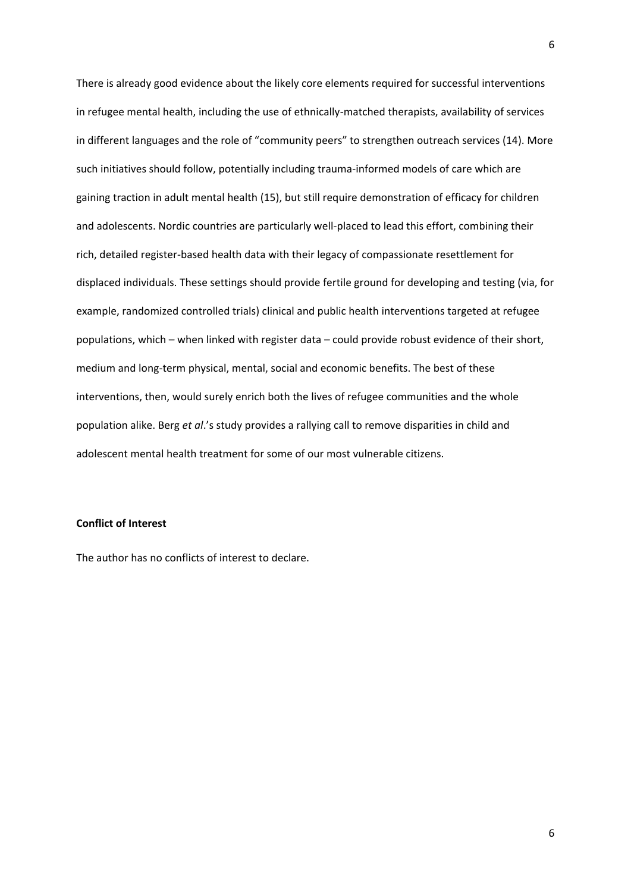There is already good evidence about the likely core elements required for successful interventions in refugee mental health, including the use of ethnically-matched therapists, availability of services in different languages and the role of "community peers" to strengthen outreach services (14). More such initiatives should follow, potentially including trauma-informed models of care which are gaining traction in adult mental health (15), but still require demonstration of efficacy for children and adolescents. Nordic countries are particularly well-placed to lead this effort, combining their rich, detailed register-based health data with their legacy of compassionate resettlement for displaced individuals. These settings should provide fertile ground for developing and testing (via, for example, randomized controlled trials) clinical and public health interventions targeted at refugee populations, which – when linked with register data – could provide robust evidence of their short, medium and long-term physical, mental, social and economic benefits. The best of these interventions, then, would surely enrich both the lives of refugee communities and the whole population alike. Berg *et al*.'s study provides a rallying call to remove disparities in child and adolescent mental health treatment for some of our most vulnerable citizens.

## **Conflict of Interest**

The author has no conflicts of interest to declare.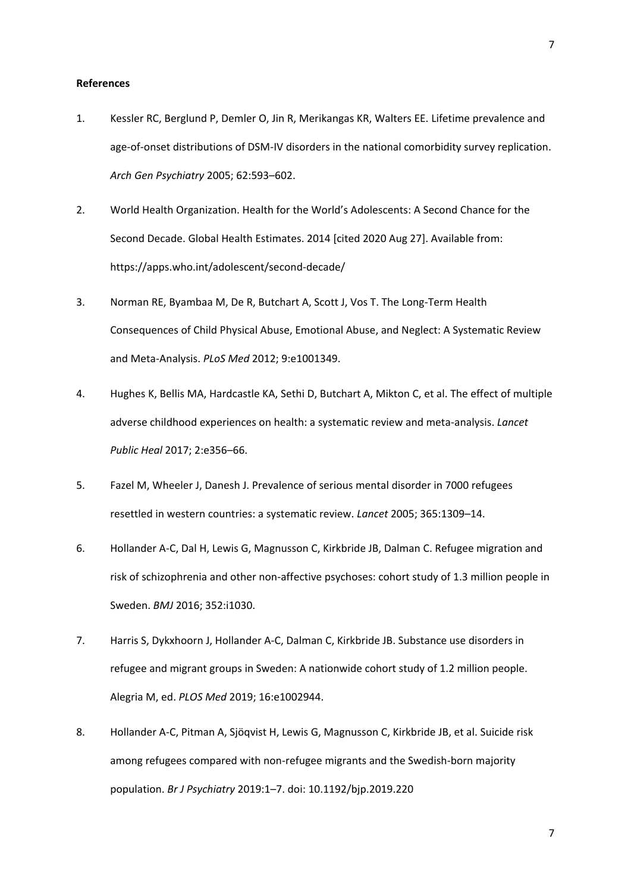## **References**

- 1. Kessler RC, Berglund P, Demler O, Jin R, Merikangas KR, Walters EE. Lifetime prevalence and age-of-onset distributions of DSM-IV disorders in the national comorbidity survey replication. *Arch Gen Psychiatry* 2005; 62:593–602.
- 2. World Health Organization. Health for the World's Adolescents: A Second Chance for the Second Decade. Global Health Estimates. 2014 [cited 2020 Aug 27]. Available from: https://apps.who.int/adolescent/second-decade/
- 3. Norman RE, Byambaa M, De R, Butchart A, Scott J, Vos T. The Long-Term Health Consequences of Child Physical Abuse, Emotional Abuse, and Neglect: A Systematic Review and Meta-Analysis. *PLoS Med* 2012; 9:e1001349.
- 4. Hughes K, Bellis MA, Hardcastle KA, Sethi D, Butchart A, Mikton C, et al. The effect of multiple adverse childhood experiences on health: a systematic review and meta-analysis. *Lancet Public Heal* 2017; 2:e356–66.
- 5. Fazel M, Wheeler J, Danesh J. Prevalence of serious mental disorder in 7000 refugees resettled in western countries: a systematic review. *Lancet* 2005; 365:1309–14.
- 6. Hollander A-C, Dal H, Lewis G, Magnusson C, Kirkbride JB, Dalman C. Refugee migration and risk of schizophrenia and other non-affective psychoses: cohort study of 1.3 million people in Sweden. *BMJ* 2016; 352:i1030.
- 7. Harris S, Dykxhoorn J, Hollander A-C, Dalman C, Kirkbride JB. Substance use disorders in refugee and migrant groups in Sweden: A nationwide cohort study of 1.2 million people. Alegria M, ed. *PLOS Med* 2019; 16:e1002944.
- 8. Hollander A-C, Pitman A, Sjöqvist H, Lewis G, Magnusson C, Kirkbride JB, et al. Suicide risk among refugees compared with non-refugee migrants and the Swedish-born majority population. *Br J Psychiatry* 2019:1–7. doi: 10.1192/bjp.2019.220

7